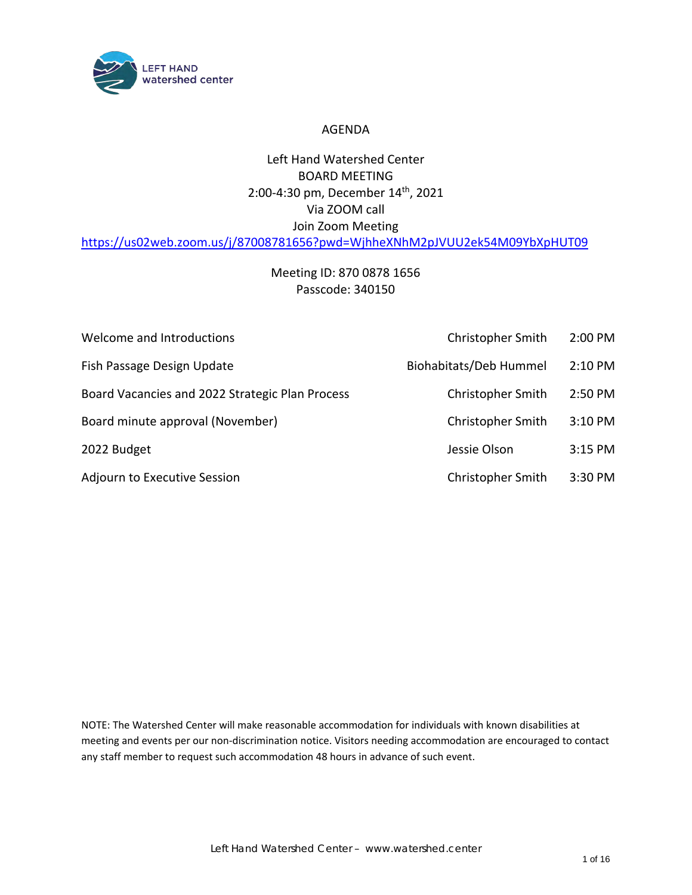

#### AGENDA

## Left Hand Watershed Center BOARD MEETING 2:00-4:30 pm, December 14 th , 2021 Via ZOOM call Join Zoom Meeting <https://us02web.zoom.us/j/87008781656?pwd=WjhheXNhM2pJVUU2ek54M09YbXpHUT09>

# Meeting ID: 870 0878 1656 Passcode: 340150

| Welcome and Introductions                       | Christopher Smith             | $2:00$ PM |
|-------------------------------------------------|-------------------------------|-----------|
| Fish Passage Design Update                      | <b>Biohabitats/Deb Hummel</b> | 2:10 PM   |
| Board Vacancies and 2022 Strategic Plan Process | Christopher Smith             | 2:50 PM   |
| Board minute approval (November)                | <b>Christopher Smith</b>      | $3:10$ PM |
| 2022 Budget                                     | Jessie Olson                  | $3:15$ PM |
| Adjourn to Executive Session                    | Christopher Smith             | 3:30 PM   |

NOTE: The Watershed Center will make reasonable accommodation for individuals with known disabilities at meeting and events per our non-discrimination notice. Visitors needing accommodation are encouraged to contact any staff member to request such accommodation 48 hours in advance of such event.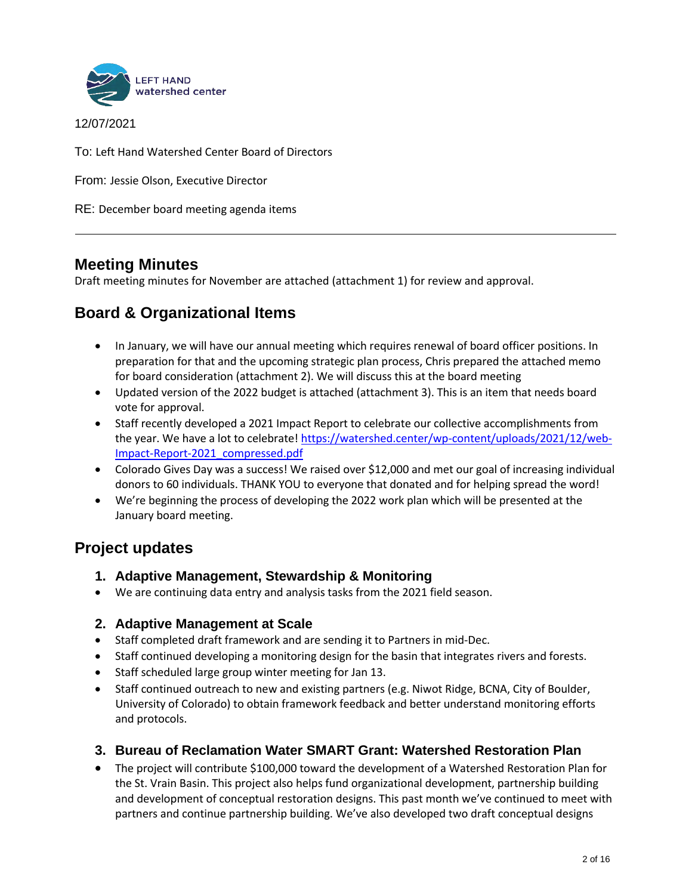

12/07/2021

To: Left Hand Watershed Center Board of Directors

From: Jessie Olson, Executive Director

RE: December board meeting agenda items

# **Meeting Minutes**

Draft meeting minutes for November are attached (attachment 1) for review and approval.

# **Board & Organizational Items**

- In January, we will have our annual meeting which requires renewal of board officer positions. In preparation for that and the upcoming strategic plan process, Chris prepared the attached memo for board consideration (attachment 2). We will discuss this at the board meeting
- Updated version of the 2022 budget is attached (attachment 3). This is an item that needs board vote for approval.
- Staff recently developed a 2021 Impact Report to celebrate our collective accomplishments from the year. We have a lot to celebrate! [https://watershed.center/wp-content/uploads/2021/12/web-](https://watershed.center/wp-content/uploads/2021/12/web-Impact-Report-2021_compressed.pdf)[Impact-Report-2021\\_compressed.pdf](https://watershed.center/wp-content/uploads/2021/12/web-Impact-Report-2021_compressed.pdf)
- Colorado Gives Day was a success! We raised over \$12,000 and met our goal of increasing individual donors to 60 individuals. THANK YOU to everyone that donated and for helping spread the word!
- We're beginning the process of developing the 2022 work plan which will be presented at the January board meeting.

# **Project updates**

- **1. Adaptive Management, Stewardship & Monitoring**
- We are continuing data entry and analysis tasks from the 2021 field season.
- **2. Adaptive Management at Scale**
- Staff completed draft framework and are sending it to Partners in mid-Dec.
- Staff continued developing a monitoring design for the basin that integrates rivers and forests.
- Staff scheduled large group winter meeting for Jan 13.
- Staff continued outreach to new and existing partners (e.g. Niwot Ridge, BCNA, City of Boulder, University of Colorado) to obtain framework feedback and better understand monitoring efforts and protocols.

### **3. Bureau of Reclamation Water SMART Grant: Watershed Restoration Plan**

• The project will contribute \$100,000 toward the development of a Watershed Restoration Plan for the St. Vrain Basin. This project also helps fund organizational development, partnership building and development of conceptual restoration designs. This past month we've continued to meet with partners and continue partnership building. We've also developed two draft conceptual designs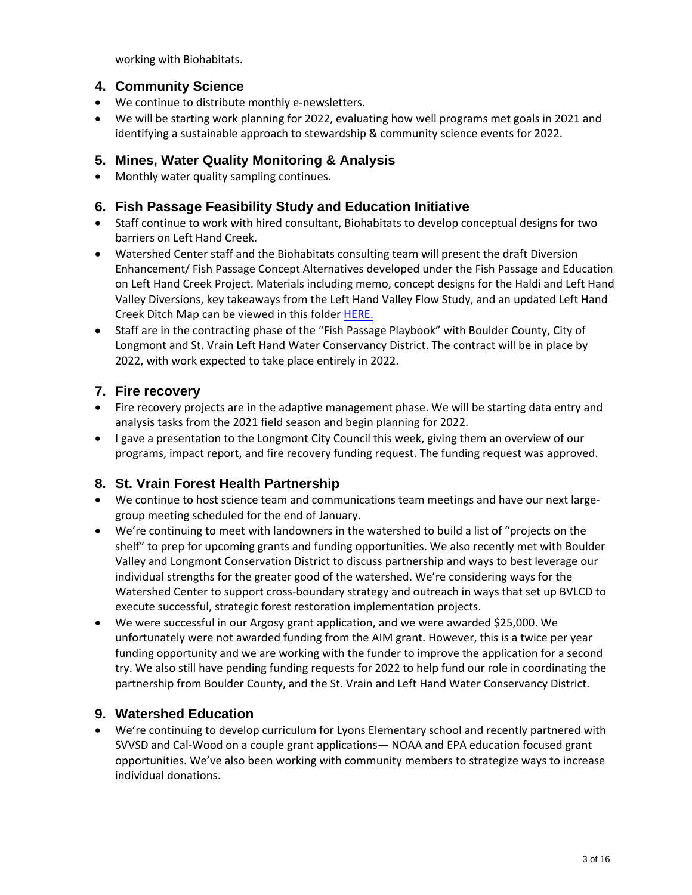working with Biohabitats.

## **4. Community Science**

- We continue to distribute monthly e-newsletters.
- We will be starting work planning for 2022, evaluating how well programs met goals in 2021 and identifying a sustainable approach to stewardship & community science events for 2022.

## **5. Mines, Water Quality Monitoring & Analysis**

• Monthly water quality sampling continues.

### **6. Fish Passage Feasibility Study and Education Initiative**

- Staff continue to work with hired consultant, Biohabitats to develop conceptual designs for two barriers on Left Hand Creek.
- Watershed Center staff and the Biohabitats consulting team will present the draft Diversion Enhancement/ Fish Passage Concept Alternatives developed under the Fish Passage and Education on Left Hand Creek Project. Materials including memo, concept designs for the Haldi and Left Hand Valley Diversions, key takeaways from the Left Hand Valley Flow Study, and an updated Left Hand Creek Ditch Map can be viewed in this folder [HERE.](https://lhwatershed-my.sharepoint.com/:f:/g/personal/dhummel_watershed_center/EtkV2ckQxIdOvbpPMmjbNj8BLbyDb1TSBx21wzdeewd22w?e=fY20p2)
- Staff are in the contracting phase of the "Fish Passage Playbook" with Boulder County, City of Longmont and St. Vrain Left Hand Water Conservancy District. The contract will be in place by 2022, with work expected to take place entirely in 2022.

## **7. Fire recovery**

- Fire recovery projects are in the adaptive management phase. We will be starting data entry and analysis tasks from the 2021 field season and begin planning for 2022.
- I gave a presentation to the Longmont City Council this week, giving them an overview of our programs, impact report, and fire recovery funding request. The funding request was approved.

### **8. St. Vrain Forest Health Partnership**

- We continue to host science team and communications team meetings and have our next largegroup meeting scheduled for the end of January.
- We're continuing to meet with landowners in the watershed to build a list of "projects on the shelf" to prep for upcoming grants and funding opportunities. We also recently met with Boulder Valley and Longmont Conservation District to discuss partnership and ways to best leverage our individual strengths for the greater good of the watershed. We're considering ways for the Watershed Center to support cross-boundary strategy and outreach in ways that set up BVLCD to execute successful, strategic forest restoration implementation projects.
- We were successful in our Argosy grant application, and we were awarded \$25,000. We unfortunately were not awarded funding from the AIM grant. However, this is a twice per year funding opportunity and we are working with the funder to improve the application for a second try. We also still have pending funding requests for 2022 to help fund our role in coordinating the partnership from Boulder County, and the St. Vrain and Left Hand Water Conservancy District.

### **9. Watershed Education**

• We're continuing to develop curriculum for Lyons Elementary school and recently partnered with SVVSD and Cal-Wood on a couple grant applications— NOAA and EPA education focused grant opportunities. We've also been working with community members to strategize ways to increase individual donations.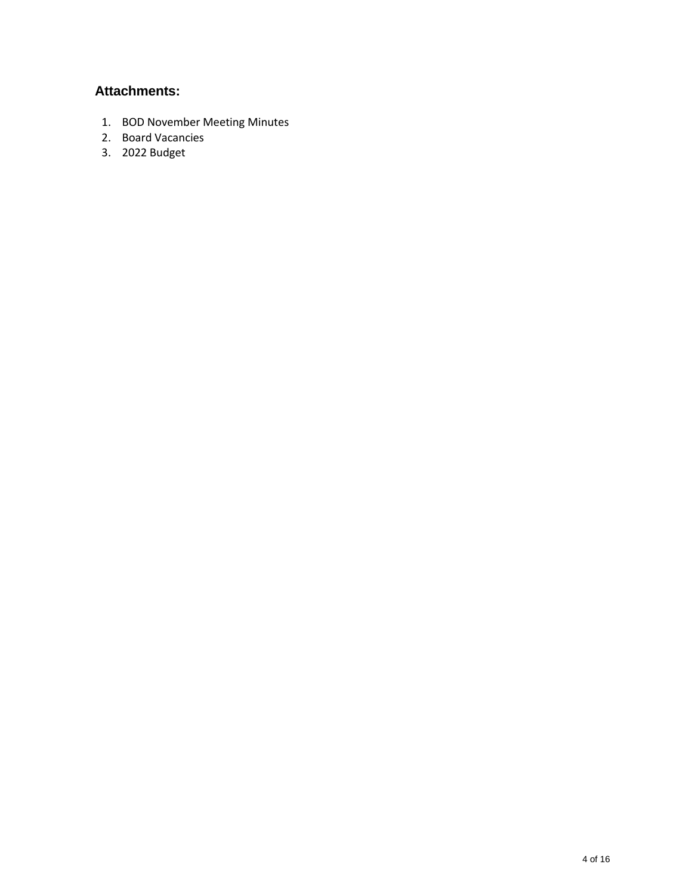## **Attachments:**

- 1. BOD November Meeting Minutes
- 2. Board Vacancies
- 3. 2022 Budget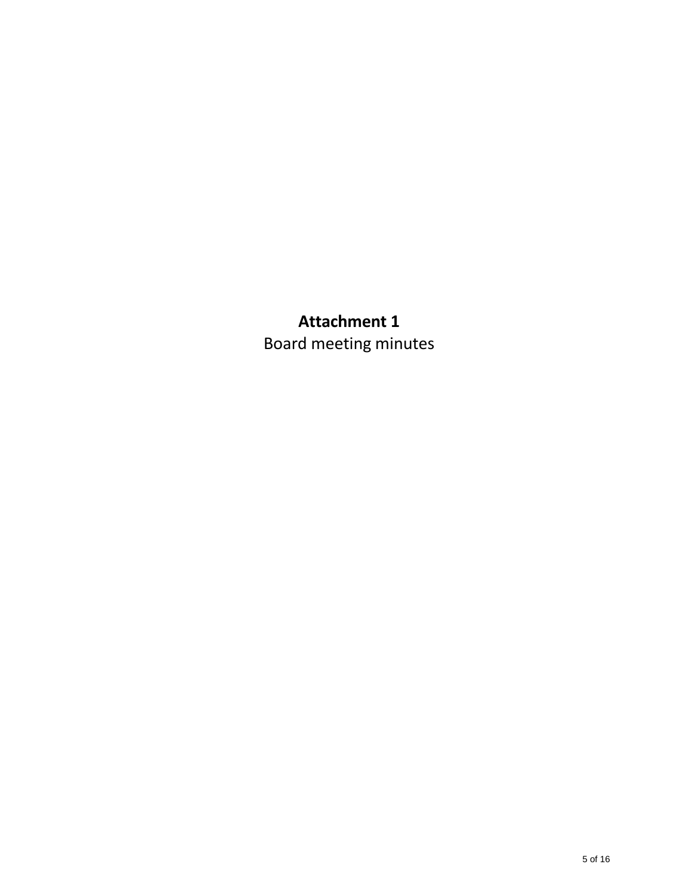# **Attachment 1**  Board meeting minutes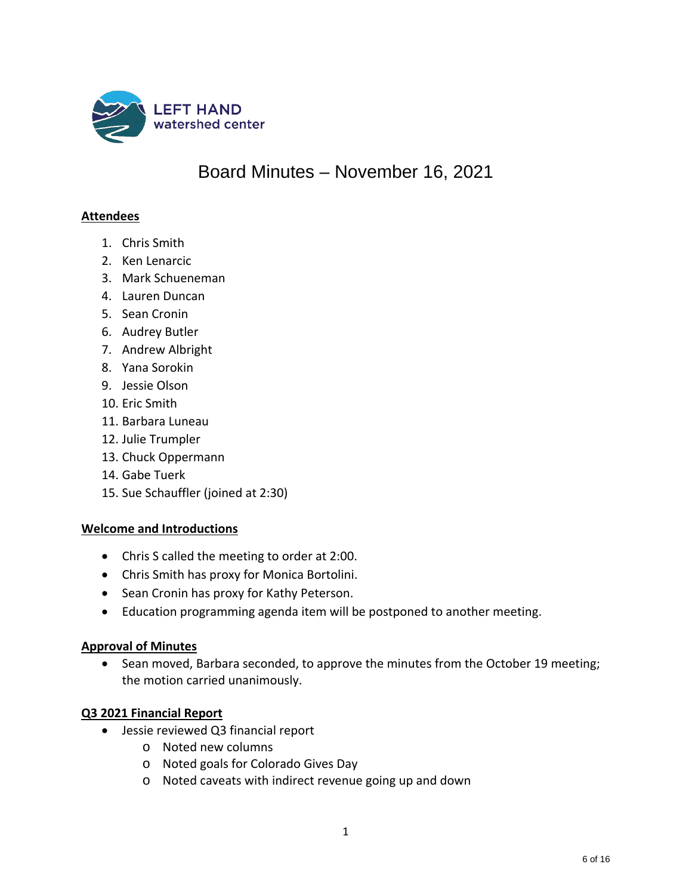

# Board Minutes – November 16, 2021

#### **Attendees**

- 1. Chris Smith
- 2. Ken Lenarcic
- 3. Mark Schueneman
- 4. Lauren Duncan
- 5. Sean Cronin
- 6. Audrey Butler
- 7. Andrew Albright
- 8. Yana Sorokin
- 9. Jessie Olson
- 10. Eric Smith
- 11. Barbara Luneau
- 12. Julie Trumpler
- 13. Chuck Oppermann
- 14. Gabe Tuerk
- 15. Sue Schauffler (joined at 2:30)

#### **Welcome and Introductions**

- Chris S called the meeting to order at 2:00.
- Chris Smith has proxy for Monica Bortolini.
- Sean Cronin has proxy for Kathy Peterson.
- Education programming agenda item will be postponed to another meeting.

#### **Approval of Minutes**

• Sean moved, Barbara seconded, to approve the minutes from the October 19 meeting; the motion carried unanimously.

#### **Q3 2021 Financial Report**

- Jessie reviewed Q3 financial report
	- o Noted new columns
	- o Noted goals for Colorado Gives Day
	- o Noted caveats with indirect revenue going up and down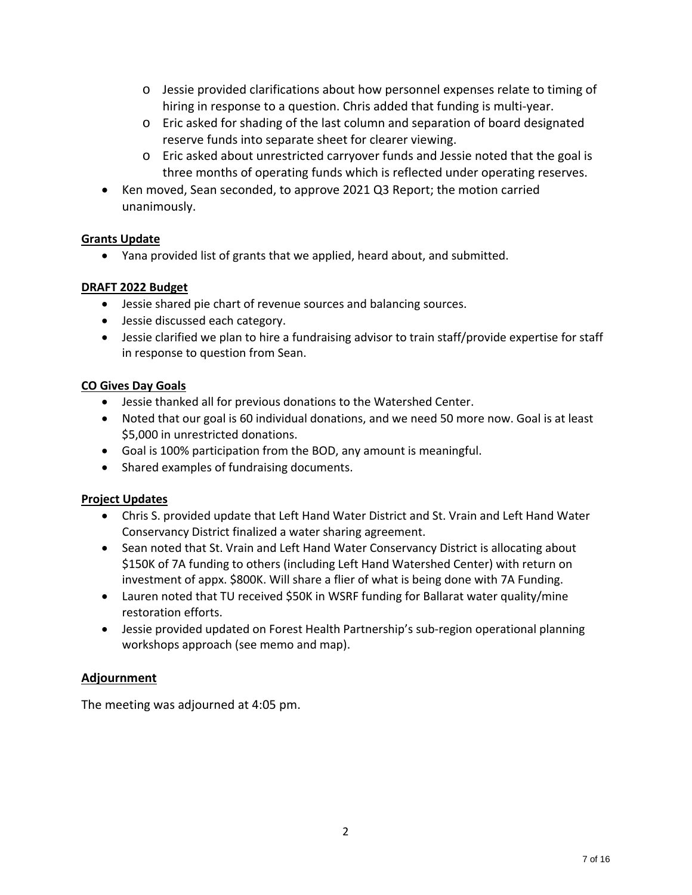- o Jessie provided clarifications about how personnel expenses relate to timing of hiring in response to a question. Chris added that funding is multi-year.
- o Eric asked for shading of the last column and separation of board designated reserve funds into separate sheet for clearer viewing.
- o Eric asked about unrestricted carryover funds and Jessie noted that the goal is three months of operating funds which is reflected under operating reserves.
- Ken moved, Sean seconded, to approve 2021 Q3 Report; the motion carried unanimously.

### **Grants Update**

• Yana provided list of grants that we applied, heard about, and submitted.

#### **DRAFT 2022 Budget**

- Jessie shared pie chart of revenue sources and balancing sources.
- Jessie discussed each category.
- Jessie clarified we plan to hire a fundraising advisor to train staff/provide expertise for staff in response to question from Sean.

#### **CO Gives Day Goals**

- Jessie thanked all for previous donations to the Watershed Center.
- Noted that our goal is 60 individual donations, and we need 50 more now. Goal is at least \$5,000 in unrestricted donations.
- Goal is 100% participation from the BOD, any amount is meaningful.
- Shared examples of fundraising documents.

#### **Project Updates**

- Chris S. provided update that Left Hand Water District and St. Vrain and Left Hand Water Conservancy District finalized a water sharing agreement.
- Sean noted that St. Vrain and Left Hand Water Conservancy District is allocating about \$150K of 7A funding to others (including Left Hand Watershed Center) with return on investment of appx. \$800K. Will share a flier of what is being done with 7A Funding.
- Lauren noted that TU received \$50K in WSRF funding for Ballarat water quality/mine restoration efforts.
- Jessie provided updated on Forest Health Partnership's sub-region operational planning workshops approach (see memo and map).

### **Adjournment**

The meeting was adjourned at 4:05 pm.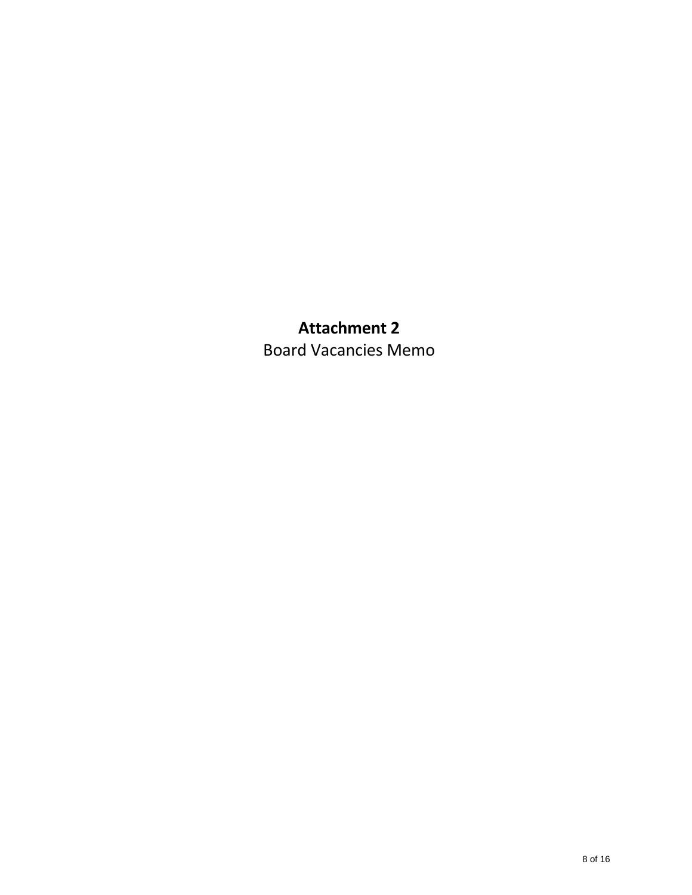# **Attachment 2**  Board Vacancies Memo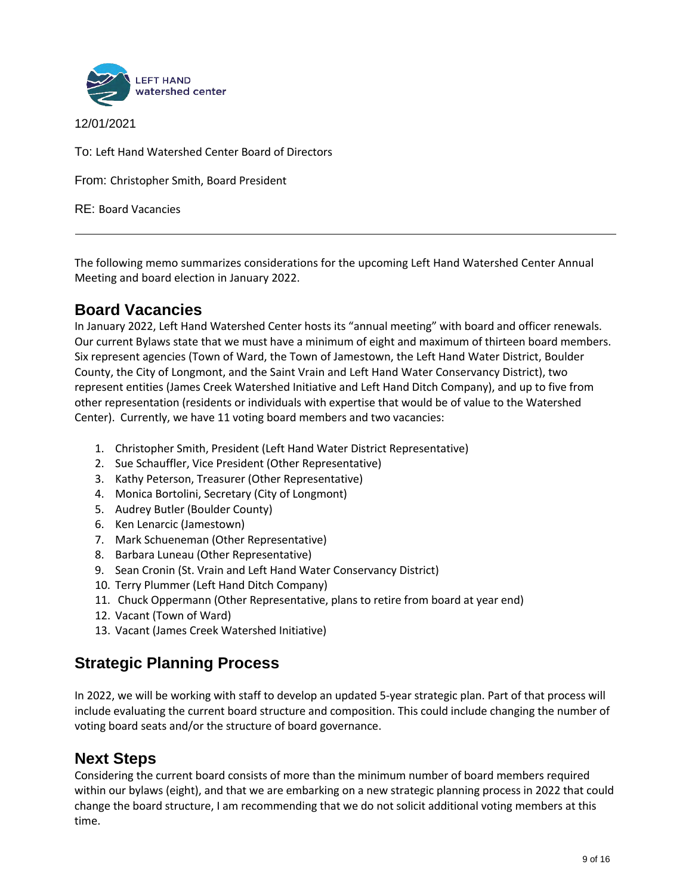

12/01/2021

To: Left Hand Watershed Center Board of Directors

From: Christopher Smith, Board President

RE: Board Vacancies

The following memo summarizes considerations for the upcoming Left Hand Watershed Center Annual Meeting and board election in January 2022.

# **Board Vacancies**

In January 2022, Left Hand Watershed Center hosts its "annual meeting" with board and officer renewals. Our current Bylaws state that we must have a minimum of eight and maximum of thirteen board members. Six represent agencies (Town of Ward, the Town of Jamestown, the Left Hand Water District, Boulder County, the City of Longmont, and the Saint Vrain and Left Hand Water Conservancy District), two represent entities (James Creek Watershed Initiative and Left Hand Ditch Company), and up to five from other representation (residents or individuals with expertise that would be of value to the Watershed Center). Currently, we have 11 voting board members and two vacancies:

- 1. Christopher Smith, President (Left Hand Water District Representative)
- 2. Sue Schauffler, Vice President (Other Representative)
- 3. Kathy Peterson, Treasurer (Other Representative)
- 4. Monica Bortolini, Secretary (City of Longmont)
- 5. Audrey Butler (Boulder County)
- 6. Ken Lenarcic (Jamestown)
- 7. Mark Schueneman (Other Representative)
- 8. Barbara Luneau (Other Representative)
- 9. Sean Cronin (St. Vrain and Left Hand Water Conservancy District)
- 10. Terry Plummer (Left Hand Ditch Company)
- 11. Chuck Oppermann (Other Representative, plans to retire from board at year end)
- 12. Vacant (Town of Ward)
- 13. Vacant (James Creek Watershed Initiative)

# **Strategic Planning Process**

In 2022, we will be working with staff to develop an updated 5-year strategic plan. Part of that process will include evaluating the current board structure and composition. This could include changing the number of voting board seats and/or the structure of board governance.

# **Next Steps**

Considering the current board consists of more than the minimum number of board members required within our bylaws (eight), and that we are embarking on a new strategic planning process in 2022 that could change the board structure, I am recommending that we do not solicit additional voting members at this time.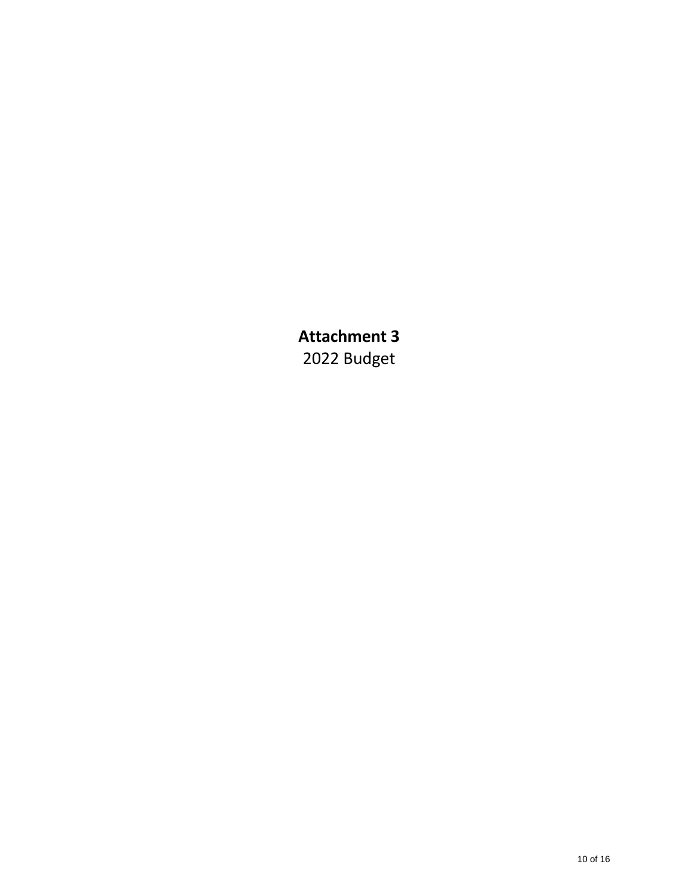**Attachment 3**  2022 Budget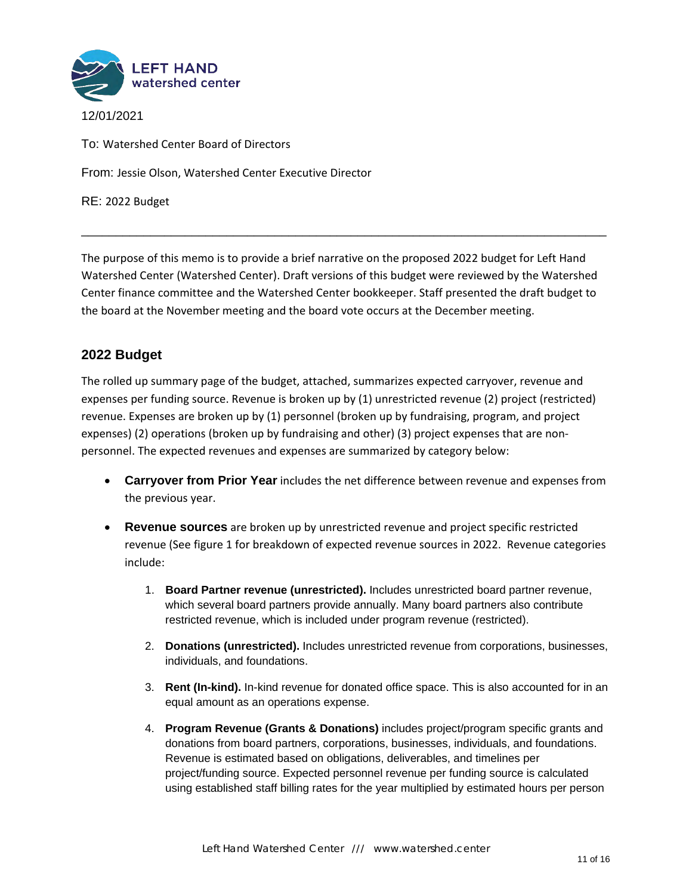

To: Watershed Center Board of Directors

From: Jessie Olson, Watershed Center Executive Director

RE: 2022 Budget

The purpose of this memo is to provide a brief narrative on the proposed 2022 budget for Left Hand Watershed Center (Watershed Center). Draft versions of this budget were reviewed by the Watershed Center finance committee and the Watershed Center bookkeeper. Staff presented the draft budget to the board at the November meeting and the board vote occurs at the December meeting.

\_\_\_\_\_\_\_\_\_\_\_\_\_\_\_\_\_\_\_\_\_\_\_\_\_\_\_\_\_\_\_\_\_\_\_\_\_\_\_\_\_\_\_\_\_\_\_\_\_\_\_\_\_\_\_\_\_\_\_\_\_\_\_\_\_\_\_\_\_\_\_\_\_\_\_\_

## **2022 Budget**

The rolled up summary page of the budget, attached, summarizes expected carryover, revenue and expenses per funding source. Revenue is broken up by (1) unrestricted revenue (2) project (restricted) revenue. Expenses are broken up by (1) personnel (broken up by fundraising, program, and project expenses) (2) operations (broken up by fundraising and other) (3) project expenses that are nonpersonnel. The expected revenues and expenses are summarized by category below:

- **Carryover from Prior Year** includes the net difference between revenue and expenses from the previous year.
- **Revenue sources** are broken up by unrestricted revenue and project specific restricted revenue (See figure 1 for breakdown of expected revenue sources in 2022. Revenue categories include:
	- 1. **Board Partner revenue (unrestricted).** Includes unrestricted board partner revenue, which several board partners provide annually. Many board partners also contribute restricted revenue, which is included under program revenue (restricted).
	- 2. **Donations (unrestricted).** Includes unrestricted revenue from corporations, businesses, individuals, and foundations.
	- 3. **Rent (In-kind).** In-kind revenue for donated office space. This is also accounted for in an equal amount as an operations expense.
	- 4. **Program Revenue (Grants & Donations)** includes project/program specific grants and donations from board partners, corporations, businesses, individuals, and foundations. Revenue is estimated based on obligations, deliverables, and timelines per project/funding source. Expected personnel revenue per funding source is calculated using established staff billing rates for the year multiplied by estimated hours per person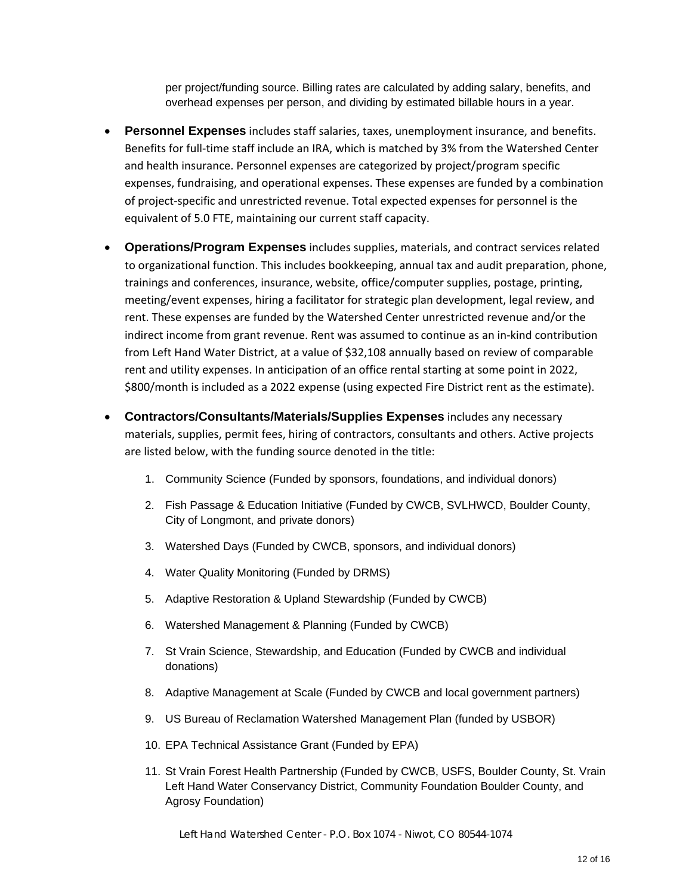per project/funding source. Billing rates are calculated by adding salary, benefits, and overhead expenses per person, and dividing by estimated billable hours in a year.

- **Personnel Expenses** includes staff salaries, taxes, unemployment insurance, and benefits. Benefits for full-time staff include an IRA, which is matched by 3% from the Watershed Center and health insurance. Personnel expenses are categorized by project/program specific expenses, fundraising, and operational expenses. These expenses are funded by a combination of project-specific and unrestricted revenue. Total expected expenses for personnel is the equivalent of 5.0 FTE, maintaining our current staff capacity.
- **Operations/Program Expenses** includes supplies, materials, and contract services related to organizational function. This includes bookkeeping, annual tax and audit preparation, phone, trainings and conferences, insurance, website, office/computer supplies, postage, printing, meeting/event expenses, hiring a facilitator for strategic plan development, legal review, and rent. These expenses are funded by the Watershed Center unrestricted revenue and/or the indirect income from grant revenue. Rent was assumed to continue as an in-kind contribution from Left Hand Water District, at a value of \$32,108 annually based on review of comparable rent and utility expenses. In anticipation of an office rental starting at some point in 2022, \$800/month is included as a 2022 expense (using expected Fire District rent as the estimate).
- **Contractors/Consultants/Materials/Supplies Expenses** includes any necessary materials, supplies, permit fees, hiring of contractors, consultants and others. Active projects are listed below, with the funding source denoted in the title:
	- 1. Community Science (Funded by sponsors, foundations, and individual donors)
	- 2. Fish Passage & Education Initiative (Funded by CWCB, SVLHWCD, Boulder County, City of Longmont, and private donors)
	- 3. Watershed Days (Funded by CWCB, sponsors, and individual donors)
	- 4. Water Quality Monitoring (Funded by DRMS)
	- 5. Adaptive Restoration & Upland Stewardship (Funded by CWCB)
	- 6. Watershed Management & Planning (Funded by CWCB)
	- 7. St Vrain Science, Stewardship, and Education (Funded by CWCB and individual donations)
	- 8. Adaptive Management at Scale (Funded by CWCB and local government partners)
	- 9. US Bureau of Reclamation Watershed Management Plan (funded by USBOR)
	- 10. EPA Technical Assistance Grant (Funded by EPA)
	- 11. St Vrain Forest Health Partnership (Funded by CWCB, USFS, Boulder County, St. Vrain Left Hand Water Conservancy District, Community Foundation Boulder County, and Agrosy Foundation)

Left Hand Watershed Center - P.O. Box 1074 - Niwot, CO 80544-1074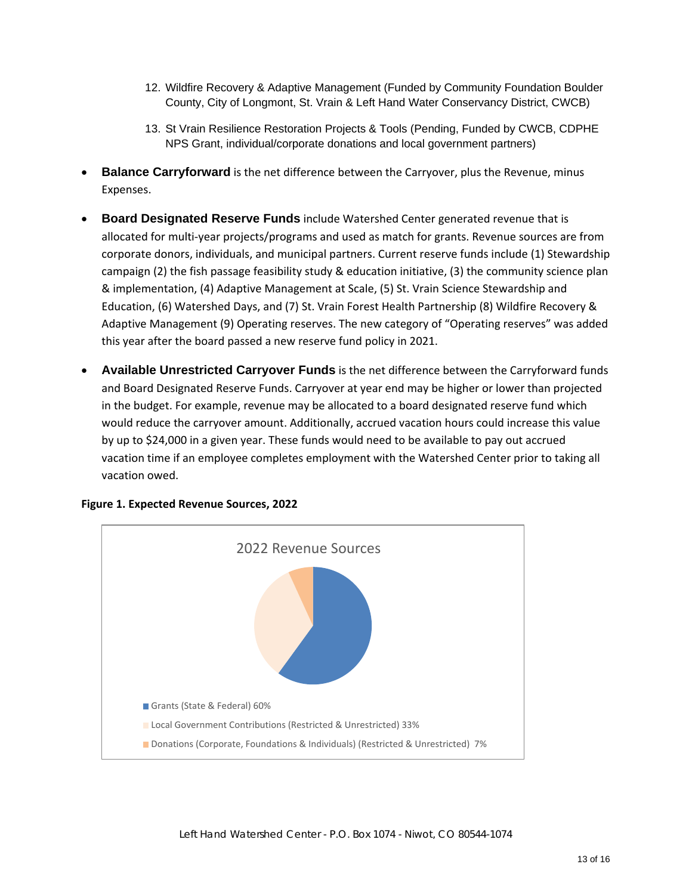- 12. Wildfire Recovery & Adaptive Management (Funded by Community Foundation Boulder County, City of Longmont, St. Vrain & Left Hand Water Conservancy District, CWCB)
- 13. St Vrain Resilience Restoration Projects & Tools (Pending, Funded by CWCB, CDPHE NPS Grant, individual/corporate donations and local government partners)
- **Balance Carryforward** is the net difference between the Carryover, plus the Revenue, minus Expenses.
- **Board Designated Reserve Funds** include Watershed Center generated revenue that is allocated for multi-year projects/programs and used as match for grants. Revenue sources are from corporate donors, individuals, and municipal partners. Current reserve funds include (1) Stewardship campaign (2) the fish passage feasibility study & education initiative, (3) the community science plan & implementation, (4) Adaptive Management at Scale, (5) St. Vrain Science Stewardship and Education, (6) Watershed Days, and (7) St. Vrain Forest Health Partnership (8) Wildfire Recovery & Adaptive Management (9) Operating reserves. The new category of "Operating reserves" was added this year after the board passed a new reserve fund policy in 2021.
- **Available Unrestricted Carryover Funds** is the net difference between the Carryforward funds and Board Designated Reserve Funds. Carryover at year end may be higher or lower than projected in the budget. For example, revenue may be allocated to a board designated reserve fund which would reduce the carryover amount. Additionally, accrued vacation hours could increase this value by up to \$24,000 in a given year. These funds would need to be available to pay out accrued vacation time if an employee completes employment with the Watershed Center prior to taking all vacation owed.



**Figure 1. Expected Revenue Sources, 2022**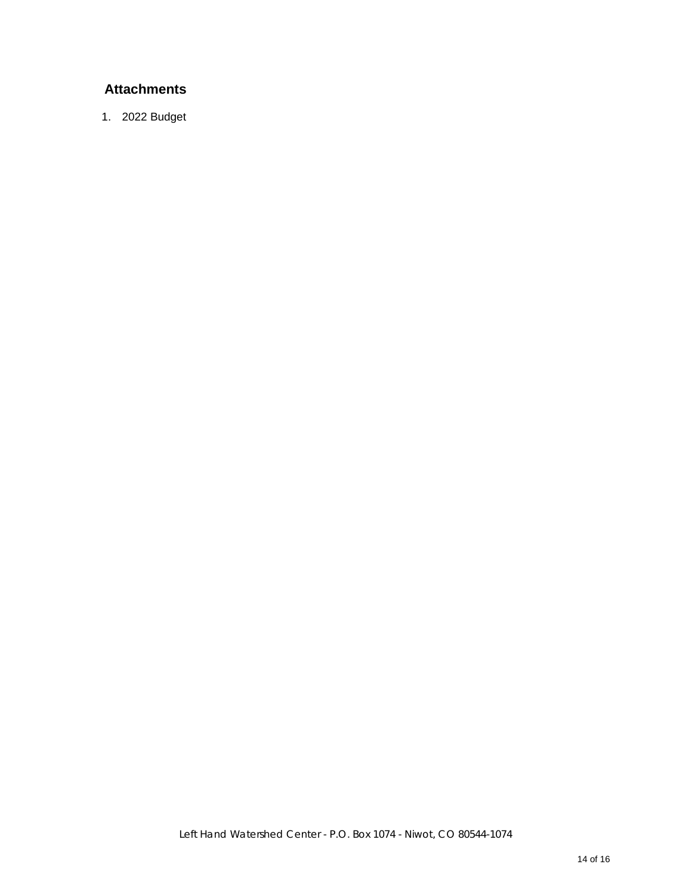# **Attachments**

1. 2022 Budget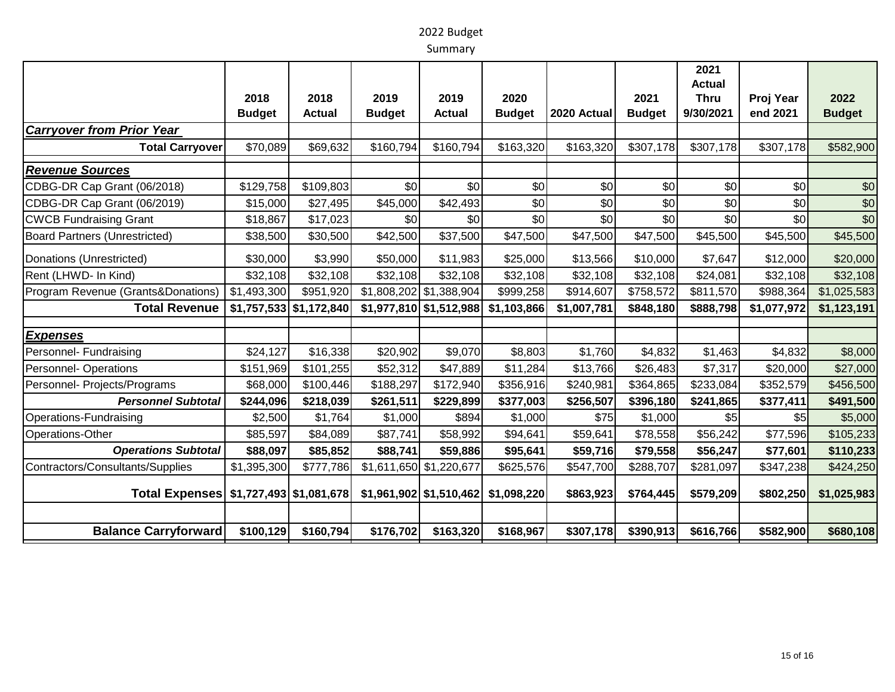# 2022 Budget

Summary

|                                        | 2018<br><b>Budget</b> | 2018<br><b>Actual</b>     | 2019<br><b>Budget</b> | 2019<br><b>Actual</b>     | 2020<br><b>Budget</b> | 2020 Actual | 2021<br><b>Budget</b> | 2021<br><b>Actual</b><br><b>Thru</b><br>9/30/2021 | Proj Year<br>end 2021 | 2022<br><b>Budget</b> |
|----------------------------------------|-----------------------|---------------------------|-----------------------|---------------------------|-----------------------|-------------|-----------------------|---------------------------------------------------|-----------------------|-----------------------|
| <b>Carryover from Prior Year</b>       |                       |                           |                       |                           |                       |             |                       |                                                   |                       |                       |
| <b>Total Carryover</b>                 | \$70,089              | \$69,632                  | \$160,794             | \$160,794                 | \$163,320             | \$163,320   | \$307,178             | \$307,178                                         | \$307,178             | \$582,900             |
| <b>Revenue Sources</b>                 |                       |                           |                       |                           |                       |             |                       |                                                   |                       |                       |
| CDBG-DR Cap Grant (06/2018)            | \$129,758             | \$109,803                 | \$0                   | \$0                       | \$0                   | \$0         | \$0                   | \$0                                               | \$0                   | \$0                   |
| CDBG-DR Cap Grant (06/2019)            | \$15,000              | \$27,495                  | \$45,000              | \$42,493                  | \$0                   | \$0         | \$0                   | \$0                                               | \$0                   | \$0                   |
| <b>CWCB Fundraising Grant</b>          | \$18,867              | \$17,023                  | \$0                   | \$0                       | \$0                   | \$0         | \$0                   | \$0                                               | \$0                   | \$0                   |
| <b>Board Partners (Unrestricted)</b>   | \$38,500              | \$30,500                  | \$42,500              | \$37,500                  | \$47,500              | \$47,500    | \$47,500              | \$45,500                                          | \$45,500              | \$45,500              |
| Donations (Unrestricted)               | \$30,000              | \$3,990                   | \$50,000              | \$11,983                  | \$25,000              | \$13,566    | \$10,000              | \$7,647                                           | \$12,000              | \$20,000              |
| Rent (LHWD- In Kind)                   | \$32,108              | \$32,108                  | \$32,108              | \$32,108                  | \$32,108              | \$32,108    | \$32,108              | \$24,081                                          | \$32,108              | \$32,108              |
| Program Revenue (Grants&Donations)     | \$1,493,300           | \$951,920                 |                       | $$1,808,202$ $$1,388,904$ | \$999,258             | \$914,607   | \$758,572             | \$811,570                                         | \$988,364             | \$1,025,583           |
| <b>Total Revenue</b>                   |                       | $$1,757,533$ $$1,172,840$ |                       | \$1,977,810 \$1,512,988   | \$1,103,866           | \$1,007,781 | \$848,180             | \$888,798                                         | \$1,077,972           | \$1,123,191           |
| <b>Expenses</b>                        |                       |                           |                       |                           |                       |             |                       |                                                   |                       |                       |
| Personnel- Fundraising                 | \$24,127              | \$16,338                  | \$20,902              | \$9,070                   | \$8,803               | \$1,760     | \$4,832               | \$1,463                                           | \$4,832               | \$8,000               |
| <b>Personnel-Operations</b>            | \$151,969             | \$101,255                 | \$52,312              | \$47,889                  | \$11,284              | \$13,766    | \$26,483              | \$7,317                                           | \$20,000              | \$27,000              |
| Personnel- Projects/Programs           | \$68,000              | \$100,446                 | \$188,297             | \$172,940                 | \$356,916             | \$240,981   | \$364,865             | \$233,084                                         | \$352,579             | \$456,500             |
| <b>Personnel Subtotal</b>              | \$244,096             | \$218,039                 | \$261,511             | \$229,899                 | \$377,003             | \$256,507   | \$396,180             | \$241,865                                         | \$377,411             | \$491,500             |
| Operations-Fundraising                 | \$2,500               | \$1,764                   | \$1,000               | \$894                     | \$1,000               | \$75        | \$1,000               | \$5                                               | \$5                   | \$5,000               |
| Operations-Other                       | \$85,597              | \$84,089                  | \$87,741              | \$58,992                  | \$94,641              | \$59,641    | \$78,558              | \$56,242                                          | \$77,596              | \$105,233             |
| <b>Operations Subtotal</b>             | \$88,097              | \$85,852                  | \$88,741              | \$59,886                  | \$95,641              | \$59,716    | \$79,558              | \$56,247                                          | \$77,601              | \$110,233             |
| Contractors/Consultants/Supplies       | \$1,395,300           | \$777,786                 |                       | \$1,611,650 \$1,220,677   | \$625,576             | \$547,700   | \$288,707             | \$281,097                                         | \$347,238             | \$424,250             |
| Total Expenses \$1,727,493 \$1,081,678 |                       |                           |                       | \$1,961,902 \$1,510,462   | \$1,098,220           | \$863,923   | \$764,445             | \$579,209                                         | \$802,250             | \$1,025,983           |
|                                        |                       |                           |                       |                           |                       |             |                       |                                                   |                       |                       |
| <b>Balance Carryforward</b>            | \$100,129             | \$160,794                 | \$176,702             | \$163,320                 | \$168,967             | \$307,178   | \$390,913             | \$616,766                                         | \$582,900             | \$680,108             |